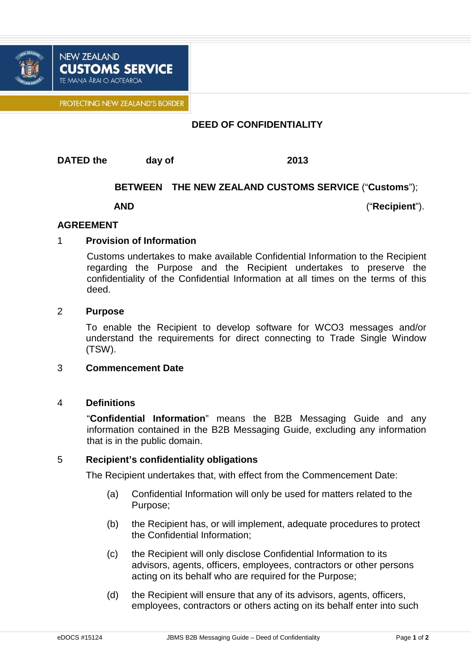

PROTECTING NEW ZEALAND'S BORDER

**CUSTOMS SERVICE** 

### **DEED OF CONFIDENTIALITY**

**DATED the day of 2013** 

**NEW ZEALAND** 

TE MANA ĀRAI O AOTEAROA

# **BETWEEN THE NEW ZEALAND CUSTOMS SERVICE** ("**Customs**");

**AND**("**Recipient**").

#### **AGREEMENT**

## 1 **Provision of Information**

Customs undertakes to make available Confidential Information to the Recipient regarding the Purpose and the Recipient undertakes to preserve the confidentiality of the Confidential Information at all times on the terms of this deed.

#### 2 **Purpose**

To enable the Recipient to develop software for WCO3 messages and/or understand the requirements for direct connecting to Trade Single Window (TSW).

#### 3 **Commencement Date**

#### 4 **Definitions**

"**Confidential Information**" means the B2B Messaging Guide and any information contained in the B2B Messaging Guide, excluding any information that is in the public domain.

#### 5 **Recipient's confidentiality obligations**

The Recipient undertakes that, with effect from the Commencement Date:

- (a) Confidential Information will only be used for matters related to the Purpose;
- (b) the Recipient has, or will implement, adequate procedures to protect the Confidential Information;
- (c) the Recipient will only disclose Confidential Information to its advisors, agents, officers, employees, contractors or other persons acting on its behalf who are required for the Purpose;
- (d) the Recipient will ensure that any of its advisors, agents, officers, employees, contractors or others acting on its behalf enter into such